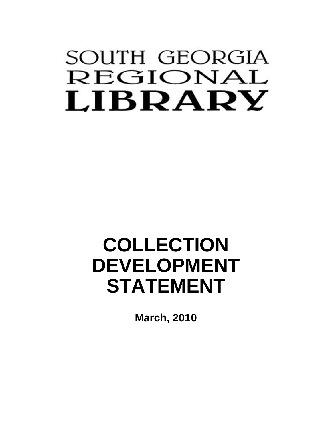# SOUTH GEORGIA REGIONAL LIBRARY

# **COLLECTION DEVELOPMENT STATEMENT**

**March, 2010**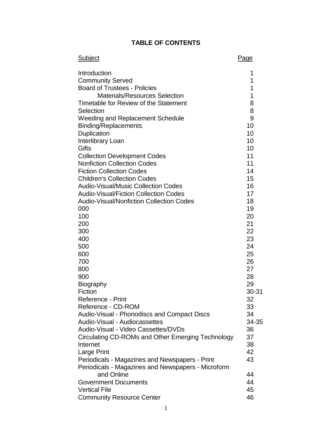## **TABLE OF CONTENTS**

| Subject                                            | Page  |
|----------------------------------------------------|-------|
| Introduction                                       | 1     |
| <b>Community Served</b>                            | 1     |
| <b>Board of Trustees - Policies</b>                | 1     |
| <b>Materials/Resources Selection</b>               | 1     |
| Timetable for Review of the Statement              | 8     |
| Selection                                          | 8     |
| Weeding and Replacement Schedule                   | 9     |
| <b>Binding/Replacements</b>                        | 10    |
| Duplication                                        | 10    |
| Interlibrary Loan                                  | 10    |
| Gifts                                              | 10    |
| <b>Collection Development Codes</b>                | 11    |
| <b>Nonfiction Collection Codes</b>                 | 11    |
| <b>Fiction Collection Codes</b>                    | 14    |
| <b>Children's Collection Codes</b>                 | 15    |
| <b>Audio-Visual/Music Collection Codes</b>         | 16    |
| <b>Audio-Visual/Fiction Collection Codes</b>       | 17    |
| <b>Audio-Visual/Nonfiction Collection Codes</b>    | 18    |
| 000                                                | 19    |
| 100                                                | 20    |
| 200                                                | 21    |
| 300                                                | 22    |
| 400                                                | 23    |
| 500                                                | 24    |
| 600                                                | 25    |
| 700                                                | 26    |
| 800                                                | 27    |
| 900                                                | 28    |
| <b>Biography</b>                                   | 29    |
| Fiction                                            | 30-31 |
| Reference - Print                                  | 32    |
| Reference - CD-ROM                                 | 33    |
| Audio-Visual - Phonodiscs and Compact Discs        | 34    |
| <b>Audio-Visual - Audiocassettes</b>               | 34-35 |
| Audio-Visual - Video Cassettes/DVDs                | 36    |
| Circulating CD-ROMs and Other Emerging Technology  | 37    |
| Internet                                           | 38    |
| Large Print                                        | 42    |
| Periodicals - Magazines and Newspapers - Print     | 43    |
| Periodicals - Magazines and Newspapers - Microform |       |
| and Online                                         | 44    |
| <b>Government Documents</b>                        | 44    |
| <b>Vertical File</b>                               | 45    |
| <b>Community Resource Center</b>                   | 46    |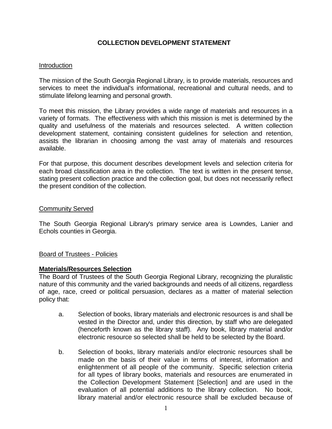## **COLLECTION DEVELOPMENT STATEMENT**

#### Introduction

The mission of the South Georgia Regional Library, is to provide materials, resources and services to meet the individual's informational, recreational and cultural needs, and to stimulate lifelong learning and personal growth.

To meet this mission, the Library provides a wide range of materials and resources in a variety of formats. The effectiveness with which this mission is met is determined by the quality and usefulness of the materials and resources selected. A written collection development statement, containing consistent guidelines for selection and retention, assists the librarian in choosing among the vast array of materials and resources available.

For that purpose, this document describes development levels and selection criteria for each broad classification area in the collection. The text is written in the present tense, stating present collection practice and the collection goal, but does not necessarily reflect the present condition of the collection.

#### Community Served

The South Georgia Regional Library's primary service area is Lowndes, Lanier and Echols counties in Georgia.

#### Board of Trustees - Policies

#### **Materials/Resources Selection**

The Board of Trustees of the South Georgia Regional Library, recognizing the pluralistic nature of this community and the varied backgrounds and needs of all citizens, regardless of age, race, creed or political persuasion, declares as a matter of material selection policy that:

- a. Selection of books, library materials and electronic resources is and shall be vested in the Director and, under this direction, by staff who are delegated (henceforth known as the library staff). Any book, library material and/or electronic resource so selected shall be held to be selected by the Board.
- b. Selection of books, library materials and/or electronic resources shall be made on the basis of their value in terms of interest, information and enlightenment of all people of the community. Specific selection criteria for all types of library books, materials and resources are enumerated in the Collection Development Statement [Selection] and are used in the evaluation of all potential additions to the library collection. No book, library material and/or electronic resource shall be excluded because of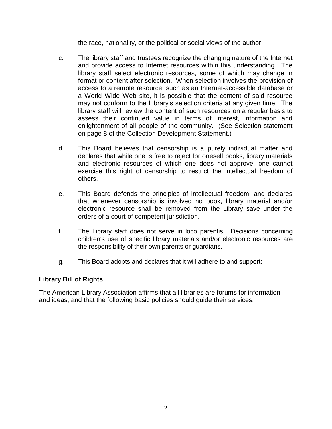the race, nationality, or the political or social views of the author.

- c. The library staff and trustees recognize the changing nature of the Internet and provide access to Internet resources within this understanding. The library staff select electronic resources, some of which may change in format or content after selection. When selection involves the provision of access to a remote resource, such as an Internet-accessible database or a World Wide Web site, it is possible that the content of said resource may not conform to the Library's selection criteria at any given time. The library staff will review the content of such resources on a regular basis to assess their continued value in terms of interest, information and enlightenment of all people of the community. (See Selection statement on page 8 of the Collection Development Statement.)
- d. This Board believes that censorship is a purely individual matter and declares that while one is free to reject for oneself books, library materials and electronic resources of which one does not approve, one cannot exercise this right of censorship to restrict the intellectual freedom of others.
- e. This Board defends the principles of intellectual freedom, and declares that whenever censorship is involved no book, library material and/or electronic resource shall be removed from the Library save under the orders of a court of competent jurisdiction.
- f. The Library staff does not serve in loco parentis. Decisions concerning children's use of specific library materials and/or electronic resources are the responsibility of their own parents or guardians.
- g. This Board adopts and declares that it will adhere to and support:

## **Library Bill of Rights**

The American Library Association affirms that all libraries are forums for information and ideas, and that the following basic policies should guide their services.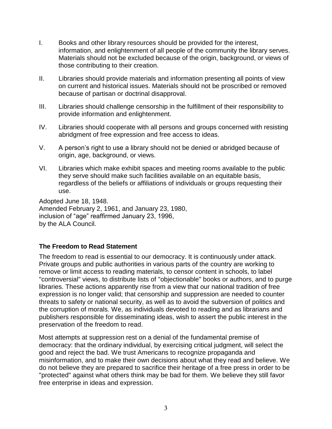- I. Books and other library resources should be provided for the interest, information, and enlightenment of all people of the community the library serves. Materials should not be excluded because of the origin, background, or views of those contributing to their creation.
- II. Libraries should provide materials and information presenting all points of view on current and historical issues. Materials should not be proscribed or removed because of partisan or doctrinal disapproval.
- III. Libraries should challenge censorship in the fulfillment of their responsibility to provide information and enlightenment.
- IV. Libraries should cooperate with all persons and groups concerned with resisting abridgment of free expression and free access to ideas.
- V. A person's right to use a library should not be denied or abridged because of origin, age, background, or views.
- VI. Libraries which make exhibit spaces and meeting rooms available to the public they serve should make such facilities available on an equitable basis, regardless of the beliefs or affiliations of individuals or groups requesting their use.

Adopted June 18, 1948. Amended February 2, 1961, and January 23, 1980, inclusion of "age" reaffirmed January 23, 1996, by the ALA Council.

## **The Freedom to Read Statement**

The freedom to read is essential to our democracy. It is continuously under attack. Private groups and public authorities in various parts of the country are working to remove or limit access to reading materials, to censor content in schools, to label "controversial" views, to distribute lists of "objectionable" books or authors, and to purge libraries. These actions apparently rise from a view that our national tradition of free expression is no longer valid; that censorship and suppression are needed to counter threats to safety or national security, as well as to avoid the subversion of politics and the corruption of morals. We, as individuals devoted to reading and as librarians and publishers responsible for disseminating ideas, wish to assert the public interest in the preservation of the freedom to read.

Most attempts at suppression rest on a denial of the fundamental premise of democracy: that the ordinary individual, by exercising critical judgment, will select the good and reject the bad. We trust Americans to recognize propaganda and misinformation, and to make their own decisions about what they read and believe. We do not believe they are prepared to sacrifice their heritage of a free press in order to be "protected" against what others think may be bad for them. We believe they still favor free enterprise in ideas and expression.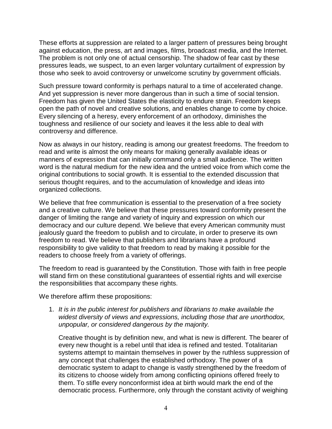These efforts at suppression are related to a larger pattern of pressures being brought against education, the press, art and images, films, broadcast media, and the Internet. The problem is not only one of actual censorship. The shadow of fear cast by these pressures leads, we suspect, to an even larger voluntary curtailment of expression by those who seek to avoid controversy or unwelcome scrutiny by government officials.

Such pressure toward conformity is perhaps natural to a time of accelerated change. And yet suppression is never more dangerous than in such a time of social tension. Freedom has given the United States the elasticity to endure strain. Freedom keeps open the path of novel and creative solutions, and enables change to come by choice. Every silencing of a heresy, every enforcement of an orthodoxy, diminishes the toughness and resilience of our society and leaves it the less able to deal with controversy and difference.

Now as always in our history, reading is among our greatest freedoms. The freedom to read and write is almost the only means for making generally available ideas or manners of expression that can initially command only a small audience. The written word is the natural medium for the new idea and the untried voice from which come the original contributions to social growth. It is essential to the extended discussion that serious thought requires, and to the accumulation of knowledge and ideas into organized collections.

We believe that free communication is essential to the preservation of a free society and a creative culture. We believe that these pressures toward conformity present the danger of limiting the range and variety of inquiry and expression on which our democracy and our culture depend. We believe that every American community must jealously guard the freedom to publish and to circulate, in order to preserve its own freedom to read. We believe that publishers and librarians have a profound responsibility to give validity to that freedom to read by making it possible for the readers to choose freely from a variety of offerings.

The freedom to read is guaranteed by the Constitution. Those with faith in free people will stand firm on these constitutional guarantees of essential rights and will exercise the responsibilities that accompany these rights.

We therefore affirm these propositions:

1. *It is in the public interest for publishers and librarians to make available the widest diversity of views and expressions, including those that are unorthodox, unpopular, or considered dangerous by the majority.*

Creative thought is by definition new, and what is new is different. The bearer of every new thought is a rebel until that idea is refined and tested. Totalitarian systems attempt to maintain themselves in power by the ruthless suppression of any concept that challenges the established orthodoxy. The power of a democratic system to adapt to change is vastly strengthened by the freedom of its citizens to choose widely from among conflicting opinions offered freely to them. To stifle every nonconformist idea at birth would mark the end of the democratic process. Furthermore, only through the constant activity of weighing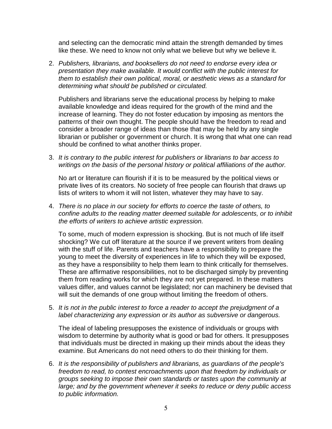and selecting can the democratic mind attain the strength demanded by times like these. We need to know not only what we believe but why we believe it.

2. *Publishers, librarians, and booksellers do not need to endorse every idea or presentation they make available. It would conflict with the public interest for them to establish their own political, moral, or aesthetic views as a standard for determining what should be published or circulated.*

Publishers and librarians serve the educational process by helping to make available knowledge and ideas required for the growth of the mind and the increase of learning. They do not foster education by imposing as mentors the patterns of their own thought. The people should have the freedom to read and consider a broader range of ideas than those that may be held by any single librarian or publisher or government or church. It is wrong that what one can read should be confined to what another thinks proper.

3. *It is contrary to the public interest for publishers or librarians to bar access to writings on the basis of the personal history or political affiliations of the author.*

No art or literature can flourish if it is to be measured by the political views or private lives of its creators. No society of free people can flourish that draws up lists of writers to whom it will not listen, whatever they may have to say.

4. *There is no place in our society for efforts to coerce the taste of others, to confine adults to the reading matter deemed suitable for adolescents, or to inhibit the efforts of writers to achieve artistic expression.*

To some, much of modern expression is shocking. But is not much of life itself shocking? We cut off literature at the source if we prevent writers from dealing with the stuff of life. Parents and teachers have a responsibility to prepare the young to meet the diversity of experiences in life to which they will be exposed, as they have a responsibility to help them learn to think critically for themselves. These are affirmative responsibilities, not to be discharged simply by preventing them from reading works for which they are not yet prepared. In these matters values differ, and values cannot be legislated; nor can machinery be devised that will suit the demands of one group without limiting the freedom of others.

5. *It is not in the public interest to force a reader to accept the prejudgment of a label characterizing any expression or its author as subversive or dangerous.*

The ideal of labeling presupposes the existence of individuals or groups with wisdom to determine by authority what is good or bad for others. It presupposes that individuals must be directed in making up their minds about the ideas they examine. But Americans do not need others to do their thinking for them.

6. *It is the responsibility of publishers and librarians, as guardians of the people's freedom to read, to contest encroachments upon that freedom by individuals or groups seeking to impose their own standards or tastes upon the community at large; and by the government whenever it seeks to reduce or deny public access to public information.*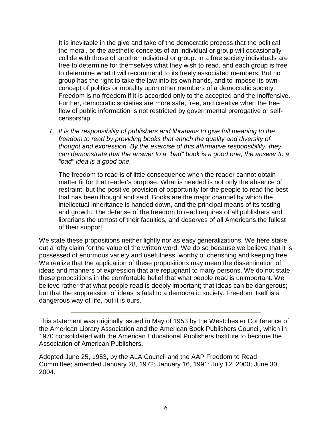It is inevitable in the give and take of the democratic process that the political, the moral, or the aesthetic concepts of an individual or group will occasionally collide with those of another individual or group. In a free society individuals are free to determine for themselves what they wish to read, and each group is free to determine what it will recommend to its freely associated members. But no group has the right to take the law into its own hands, and to impose its own concept of politics or morality upon other members of a democratic society. Freedom is no freedom if it is accorded only to the accepted and the inoffensive. Further, democratic societies are more safe, free, and creative when the free flow of public information is not restricted by governmental prerogative or selfcensorship.

7. *It is the responsibility of publishers and librarians to give full meaning to the freedom to read by providing books that enrich the quality and diversity of thought and expression. By the exercise of this affirmative responsibility, they can demonstrate that the answer to a "bad" book is a good one, the answer to a "bad" idea is a good one.*

The freedom to read is of little consequence when the reader cannot obtain matter fit for that reader's purpose. What is needed is not only the absence of restraint, but the positive provision of opportunity for the people to read the best that has been thought and said. Books are the major channel by which the intellectual inheritance is handed down, and the principal means of its testing and growth. The defense of the freedom to read requires of all publishers and librarians the utmost of their faculties, and deserves of all Americans the fullest of their support.

We state these propositions neither lightly nor as easy generalizations. We here stake out a lofty claim for the value of the written word. We do so because we believe that it is possessed of enormous variety and usefulness, worthy of cherishing and keeping free. We realize that the application of these propositions may mean the dissemination of ideas and manners of expression that are repugnant to many persons. We do not state these propositions in the comfortable belief that what people read is unimportant. We believe rather that what people read is deeply important; that ideas can be dangerous; but that the suppression of ideas is fatal to a democratic society. Freedom itself is a dangerous way of life, but it is ours.

This statement was originally issued in May of 1953 by the Westchester Conference of the American Library Association and the American Book Publishers Council, which in 1970 consolidated with the American Educational Publishers Institute to become the Association of American Publishers.

Adopted June 25, 1953, by the ALA Council and the AAP Freedom to Read Committee; amended January 28, 1972; January 16, 1991; July 12, 2000; June 30, 2004.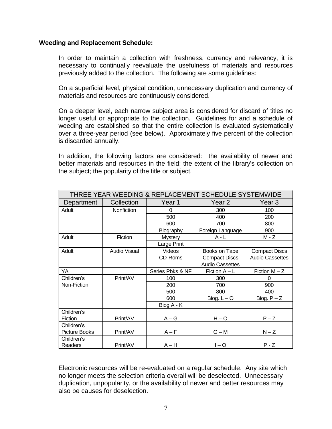#### **Weeding and Replacement Schedule:**

In order to maintain a collection with freshness, currency and relevancy, it is necessary to continually reevaluate the usefulness of materials and resources previously added to the collection. The following are some guidelines:

On a superficial level, physical condition, unnecessary duplication and currency of materials and resources are continuously considered.

On a deeper level, each narrow subject area is considered for discard of titles no longer useful or appropriate to the collection. Guidelines for and a schedule of weeding are established so that the entire collection is evaluated systematically over a three-year period (see below). Approximately five percent of the collection is discarded annually.

In addition, the following factors are considered: the availability of newer and better materials and resources in the field; the extent of the library's collection on the subject; the popularity of the title or subject.

| THREE YEAR WEEDING & REPLACEMENT SCHEDULE SYSTEMWIDE |                     |                  |                        |                        |  |
|------------------------------------------------------|---------------------|------------------|------------------------|------------------------|--|
| Department                                           | Collection          | Year 1           | Year 2                 | Year 3                 |  |
| Adult                                                | <b>Nonfiction</b>   | 0                | 300                    | 100                    |  |
|                                                      |                     | 500              | 400                    | 200                    |  |
|                                                      |                     | 600              | 700                    | 800                    |  |
|                                                      |                     | Biography        | Foreign Language       | 900                    |  |
| Adult                                                | Fiction             | <b>Mystery</b>   | $A - L$                | M - Z                  |  |
|                                                      |                     | Large Print      |                        |                        |  |
| Adult                                                | <b>Audio Visual</b> | <b>Videos</b>    | Books on Tape          | <b>Compact Discs</b>   |  |
|                                                      |                     | CD-Roms          | <b>Compact Discs</b>   | <b>Audio Cassettes</b> |  |
|                                                      |                     |                  | <b>Audio Cassettes</b> |                        |  |
| YA                                                   |                     | Series Pbks & NF | Fiction $A - L$        | Fiction $M - Z$        |  |
| Children's                                           | Print/AV            | 100              | 300                    | 0                      |  |
| Non-Fiction                                          |                     | 200              | 700                    | 900                    |  |
|                                                      |                     | 500              | 800                    | 400                    |  |
|                                                      |                     | 600              | Biog. $L - O$          | Biog. $P - Z$          |  |
|                                                      |                     | Biog A - K       |                        |                        |  |
| Children's                                           |                     |                  |                        |                        |  |
| Fiction                                              | Print/AV            | $A - G$          | $H - O$                | $P - Z$                |  |
| Children's                                           |                     |                  |                        |                        |  |
| <b>Picture Books</b>                                 | Print/AV            | $A - F$          | $G - M$                | $N-Z$                  |  |
| Children's                                           |                     |                  |                        |                        |  |
| Readers                                              | Print/AV            | $A - H$          | $I - O$                | $P - Z$                |  |

Electronic resources will be re-evaluated on a regular schedule. Any site which no longer meets the selection criteria overall will be deselected. Unnecessary duplication, unpopularity, or the availability of newer and better resources may also be causes for deselection.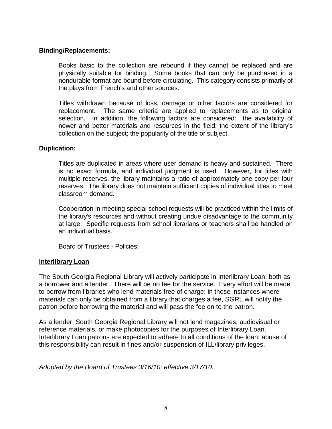#### **Binding/Replacements:**

Books basic to the collection are rebound if they cannot be replaced and are physically suitable for binding. Some books that can only be purchased in a nondurable format are bound before circulating. This category consists primarily of the plays from French's and other sources.

Titles withdrawn because of loss, damage or other factors are considered for replacement. The same criteria are applied to replacements as to original selection. In addition, the following factors are considered: the availability of newer and better materials and resources in the field; the extent of the library's collection on the subject; the popularity of the title or subject.

#### **Duplication:**

Titles are duplicated in areas where user demand is heavy and sustained. There is no exact formula, and individual judgment is used. However, for titles with multiple reserves, the library maintains a ratio of approximately one copy per four reserves. The library does not maintain sufficient copies of individual titles to meet classroom demand.

Cooperation in meeting special school requests will be practiced within the limits of the library's resources and without creating undue disadvantage to the community at large. Specific requests from school librarians or teachers shall be handled on an individual basis.

Board of Trustees - Policies:

#### **Interlibrary Loan**

The South Georgia Regional Library will actively participate in Interlibrary Loan, both as a borrower and a lender. There will be no fee for the service. Every effort will be made to borrow from libraries who lend materials free of charge; in those instances where materials can only be obtained from a library that charges a fee, SGRL will notify the patron before borrowing the material and will pass the fee on to the patron.

As a lender, South Georgia Regional Library will not lend magazines, audiovisual or reference materials, or make photocopies for the purposes of Interlibrary Loan. Interlibrary Loan patrons are expected to adhere to all conditions of the loan; abuse of this responsibility can result in fines and/or suspension of ILL/library privileges.

*Adopted by the Board of Trustees 3/16/10; effective 3/17/10.*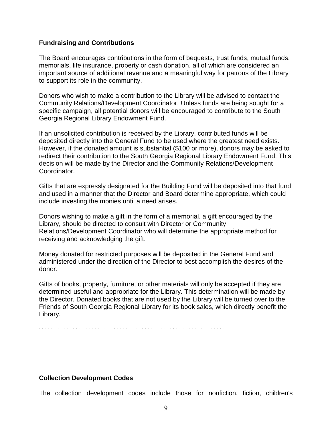#### **Fundraising and Contributions**

The Board encourages contributions in the form of bequests, trust funds, mutual funds, memorials, life insurance, property or cash donation, all of which are considered an important source of additional revenue and a meaningful way for patrons of the Library to support its role in the community.

Donors who wish to make a contribution to the Library will be advised to contact the Community Relations/Development Coordinator. Unless funds are being sought for a specific campaign, all potential donors will be encouraged to contribute to the South Georgia Regional Library Endowment Fund.

If an unsolicited contribution is received by the Library, contributed funds will be deposited directly into the General Fund to be used where the greatest need exists. However, if the donated amount is substantial (\$100 or more), donors may be asked to redirect their contribution to the South Georgia Regional Library Endowment Fund. This decision will be made by the Director and the Community Relations/Development Coordinator.

Gifts that are expressly designated for the Building Fund will be deposited into that fund and used in a manner that the Director and Board determine appropriate, which could include investing the monies until a need arises.

Donors wishing to make a gift in the form of a memorial, a gift encouraged by the Library, should be directed to consult with Director or Community Relations/Development Coordinator who will determine the appropriate method for receiving and acknowledging the gift.

Money donated for restricted purposes will be deposited in the General Fund and administered under the direction of the Director to best accomplish the desires of the donor.

Gifts of books, property, furniture, or other materials will only be accepted if they are determined useful and appropriate for the Library. This determination will be made by the Director. Donated books that are not used by the Library will be turned over to the Friends of South Georgia Regional Library for its book sales, which directly benefit the Library.

Adopted by the Board of Trustees 3/16/10; effective 3/17/10.

#### **Collection Development Codes**

The collection development codes include those for nonfiction, fiction, children's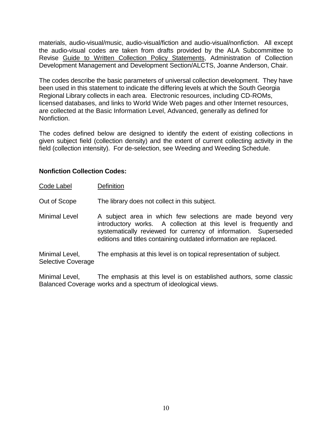materials, audio-visual/music, audio-visual/fiction and audio-visual/nonfiction. All except the audio-visual codes are taken from drafts provided by the ALA Subcommittee to Revise Guide to Written Collection Policy Statements, Administration of Collection Development Management and Development Section/ALCTS, Joanne Anderson, Chair.

The codes describe the basic parameters of universal collection development. They have been used in this statement to indicate the differing levels at which the South Georgia Regional Library collects in each area. Electronic resources, including CD-ROMs, licensed databases, and links to World Wide Web pages and other Internet resources, are collected at the Basic Information Level, Advanced, generally as defined for Nonfiction.

The codes defined below are designed to identify the extent of existing collections in given subject field (collection density) and the extent of current collecting activity in the field (collection intensity). For de-selection, see Weeding and Weeding Schedule.

## **Nonfiction Collection Codes:**

Code Label Definition

Out of Scope The library does not collect in this subject.

Minimal Level A subject area in which few selections are made beyond very introductory works. A collection at this level is frequently and systematically reviewed for currency of information. Superseded editions and titles containing outdated information are replaced.

Minimal Level, The emphasis at this level is on topical representation of subject. Selective Coverage

Minimal Level, The emphasis at this level is on established authors, some classic Balanced Coverage works and a spectrum of ideological views.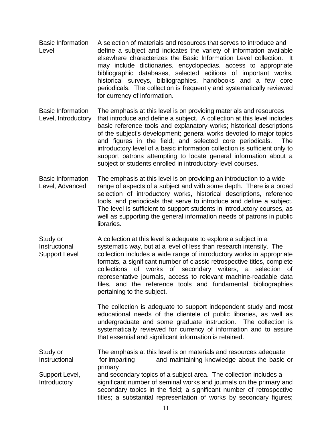- Basic Information A selection of materials and resources that serves to introduce and Level define a subject and indicates the variety of information available elsewhere characterizes the Basic Information Level collection. It may include dictionaries, encyclopedias, access to appropriate bibliographic databases, selected editions of important works, historical surveys, bibliographies, handbooks and a few core periodicals. The collection is frequently and systematically reviewed for currency of information.
- Basic Information The emphasis at this level is on providing materials and resources Level, Introductory that introduce and define a subject. A collection at this level includes basic reference tools and explanatory works; historical descriptions of the subject's development; general works devoted to major topics and figures in the field; and selected core periodicals. The introductory level of a basic information collection is sufficient only to support patrons attempting to locate general information about a subject or students enrolled in introductory-level courses.
- Basic Information The emphasis at this level is on providing an introduction to a wide Level, Advanced range of aspects of a subject and with some depth. There is a broad selection of introductory works, historical descriptions, reference tools, and periodicals that serve to introduce and define a subject. The level is sufficient to support students in introductory courses, as well as supporting the general information needs of patrons in public libraries.
- Study or **A** collection at this level is adequate to explore a subject in a Instructional systematic way, but at a level of less than research intensity. The Support Level collection includes a wide range of introductory works in appropriate formats, a significant number of classic retrospective titles, complete collections of works of secondary writers, a selection of representative journals, access to relevant machine-readable data files, and the reference tools and fundamental bibliographies pertaining to the subject.

The collection is adequate to support independent study and most educational needs of the clientele of public libraries, as well as undergraduate and some graduate instruction. The collection is systematically reviewed for currency of information and to assure that essential and significant information is retained.

Study or The emphasis at this level is on materials and resources adequate Instructional for imparting and maintaining knowledge about the basic or primary Support Level, and secondary topics of a subject area. The collection includes a Introductory significant number of seminal works and journals on the primary and secondary topics in the field; a significant number of retrospective titles; a substantial representation of works by secondary figures;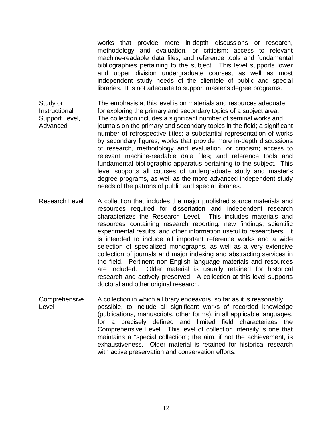works that provide more in-depth discussions or research, methodology and evaluation, or criticism; access to relevant machine-readable data files; and reference tools and fundamental bibliographies pertaining to the subject. This level supports lower and upper division undergraduate courses, as well as most independent study needs of the clientele of public and special libraries. It is not adequate to support master's degree programs.

Study or The emphasis at this level is on materials and resources adequate Instructional for exploring the primary and secondary topics of a subject area. Support Level, The collection includes a significant number of seminal works and Advanced journals on the primary and secondary topics in the field; a significant number of retrospective titles; a substantial representation of works by secondary figures; works that provide more in-depth discussions of research, methodology and evaluation, or criticism; access to relevant machine-readable data files; and reference tools and fundamental bibliographic apparatus pertaining to the subject. This level supports all courses of undergraduate study and master's degree programs, as well as the more advanced independent study needs of the patrons of public and special libraries.

- Research Level A collection that includes the major published source materials and resources required for dissertation and independent research characterizes the Research Level. This includes materials and resources containing research reporting, new findings, scientific experimental results, and other information useful to researchers. It is intended to include all important reference works and a wide selection of specialized monographs, as well as a very extensive collection of journals and major indexing and abstracting services in the field. Pertinent non-English language materials and resources are included. Older material is usually retained for historical research and actively preserved. A collection at this level supports doctoral and other original research.
- Comprehensive A collection in which a library endeavors, so far as it is reasonably Level **Example 1** possible, to include all significant works of recorded knowledge (publications, manuscripts, other forms), in all applicable languages, for a precisely defined and limited field characterizes the Comprehensive Level. This level of collection intensity is one that maintains a "special collection"; the aim, if not the achievement, is exhaustiveness. Older material is retained for historical research with active preservation and conservation efforts.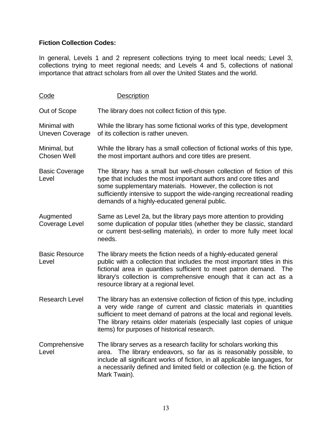## **Fiction Collection Codes:**

In general, Levels 1 and 2 represent collections trying to meet local needs; Level 3, collections trying to meet regional needs; and Levels 4 and 5, collections of national importance that attract scholars from all over the United States and the world.

| Code                                   | <b>Description</b>                                                                                                                                                                                                                                                                                                                               |
|----------------------------------------|--------------------------------------------------------------------------------------------------------------------------------------------------------------------------------------------------------------------------------------------------------------------------------------------------------------------------------------------------|
| Out of Scope                           | The library does not collect fiction of this type.                                                                                                                                                                                                                                                                                               |
| Minimal with<br><b>Uneven Coverage</b> | While the library has some fictional works of this type, development<br>of its collection is rather uneven.                                                                                                                                                                                                                                      |
| Minimal, but<br><b>Chosen Well</b>     | While the library has a small collection of fictional works of this type,<br>the most important authors and core titles are present.                                                                                                                                                                                                             |
| <b>Basic Coverage</b><br>Level         | The library has a small but well-chosen collection of fiction of this<br>type that includes the most important authors and core titles and<br>some supplementary materials. However, the collection is not<br>sufficiently intensive to support the wide-ranging recreational reading<br>demands of a highly-educated general public.            |
| Augmented<br><b>Coverage Level</b>     | Same as Level 2a, but the library pays more attention to providing<br>some duplication of popular titles (whether they be classic, standard<br>or current best-selling materials), in order to more fully meet local<br>needs.                                                                                                                   |
| <b>Basic Resource</b><br>Level         | The library meets the fiction needs of a highly-educated general<br>public with a collection that includes the most important titles in this<br>fictional area in quantities sufficient to meet patron demand. The<br>library's collection is comprehensive enough that it can act as a<br>resource library at a regional level.                 |
| <b>Research Level</b>                  | The library has an extensive collection of fiction of this type, including<br>a very wide range of current and classic materials in quantities<br>sufficient to meet demand of patrons at the local and regional levels.<br>The library retains older materials (especially last copies of unique<br>items) for purposes of historical research. |
| Comprehensive<br>Level                 | The library serves as a research facility for scholars working this<br>The library endeavors, so far as is reasonably possible, to<br>area.<br>include all significant works of fiction, in all applicable languages, for<br>a necessarily defined and limited field or collection (e.g. the fiction of<br>Mark Twain).                          |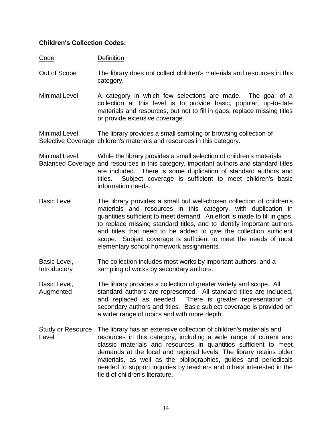#### **Children's Collection Codes:**

- Code Definition
- Out of Scope The library does not collect children's materials and resources in this category.
- Minimal Level A category in which few selections are made. The goal of a collection at this level is to provide basic, popular, up-to-date materials and resources, but not to fill in gaps, replace missing titles or provide extensive coverage.

Minimal Level The library provides a small sampling or browsing collection of Selective Coverage children's materials and resources in this category.

Minimal Level, While the library provides a small selection of children's materials

- Balanced Coverage and resources in this category, important authors and standard titles are included. There is some duplication of standard authors and titles. Subject coverage is sufficient to meet children's basic information needs.
- Basic Level The library provides a small but well-chosen collection of children's materials and resources in this category, with duplication in quantities sufficient to meet demand. An effort is made to fill in gaps, to replace missing standard titles, and to identify important authors and titles that need to be added to give the collection sufficient scope. Subject coverage is sufficient to meet the needs of most elementary school homework assignments.
- Basic Level, The collection includes most works by important authors, and a Introductory sampling of works by secondary authors.
- Basic Level, The library provides a collection of greater variety and scope. All Augmented standard authors are represented. All standard titles are included, and replaced as needed. There is greater representation of secondary authors and titles. Basic subject coverage is provided on a wider range of topics and with more depth.
- Study or Resource The library has an extensive collection of children's materials and Level **resources** in this category, including a wide range of current and classic materials and resources in quantities sufficient to meet demands at the local and regional levels. The library retains older materials, as well as the bibliographies, guides and periodicals needed to support inquiries by teachers and others interested in the field of children's literature.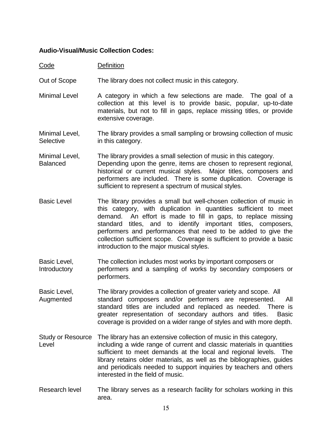## **Audio-Visual/Music Collection Codes:**

| <u>Code</u>                       | Definition                                                                                                                                                                                                                                                                                                                                                                                                                                                        |
|-----------------------------------|-------------------------------------------------------------------------------------------------------------------------------------------------------------------------------------------------------------------------------------------------------------------------------------------------------------------------------------------------------------------------------------------------------------------------------------------------------------------|
| Out of Scope                      | The library does not collect music in this category.                                                                                                                                                                                                                                                                                                                                                                                                              |
| <b>Minimal Level</b>              | A category in which a few selections are made. The goal of a<br>collection at this level is to provide basic, popular, up-to-date<br>materials, but not to fill in gaps, replace missing titles, or provide<br>extensive coverage.                                                                                                                                                                                                                                |
| Minimal Level,<br>Selective       | The library provides a small sampling or browsing collection of music<br>in this category.                                                                                                                                                                                                                                                                                                                                                                        |
| Minimal Level,<br><b>Balanced</b> | The library provides a small selection of music in this category.<br>Depending upon the genre, items are chosen to represent regional,<br>historical or current musical styles. Major titles, composers and<br>performers are included. There is some duplication. Coverage is<br>sufficient to represent a spectrum of musical styles.                                                                                                                           |
| <b>Basic Level</b>                | The library provides a small but well-chosen collection of music in<br>this category, with duplication in quantities sufficient to meet<br>demand. An effort is made to fill in gaps, to replace missing<br>standard titles, and to identify important titles, composers,<br>performers and performances that need to be added to give the<br>collection sufficient scope. Coverage is sufficient to provide a basic<br>introduction to the major musical styles. |
| Basic Level,<br>Introductory      | The collection includes most works by important composers or<br>performers and a sampling of works by secondary composers or<br>performers.                                                                                                                                                                                                                                                                                                                       |
| Basic Level,<br>Augmented         | The library provides a collection of greater variety and scope. All<br>standard composers and/or performers are represented.<br>All<br>standard titles are included and replaced as needed. There is<br>greater representation of secondary authors and titles.<br><b>Basic</b><br>coverage is provided on a wider range of styles and with more depth.                                                                                                           |
| <b>Study or Resource</b><br>Level | The library has an extensive collection of music in this category,<br>including a wide range of current and classic materials in quantities<br>sufficient to meet demands at the local and regional levels. The<br>library retains older materials, as well as the bibliographies, guides<br>and periodicals needed to support inquiries by teachers and others<br>interested in the field of music.                                                              |
| Research level                    | The library serves as a research facility for scholars working in this                                                                                                                                                                                                                                                                                                                                                                                            |

area.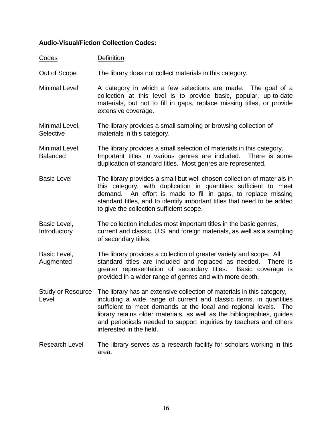## **Audio-Visual/Fiction Collection Codes:**

| Codes                             | Definition                                                                                                                                                                                                                                                                                                                                                                                                     |
|-----------------------------------|----------------------------------------------------------------------------------------------------------------------------------------------------------------------------------------------------------------------------------------------------------------------------------------------------------------------------------------------------------------------------------------------------------------|
| Out of Scope                      | The library does not collect materials in this category.                                                                                                                                                                                                                                                                                                                                                       |
| <b>Minimal Level</b>              | A category in which a few selections are made. The goal of a<br>collection at this level is to provide basic, popular, up-to-date<br>materials, but not to fill in gaps, replace missing titles, or provide<br>extensive coverage.                                                                                                                                                                             |
| Minimal Level,<br>Selective       | The library provides a small sampling or browsing collection of<br>materials in this category.                                                                                                                                                                                                                                                                                                                 |
| Minimal Level,<br><b>Balanced</b> | The library provides a small selection of materials in this category.<br>Important titles in various genres are included.<br>There is some<br>duplication of standard titles. Most genres are represented.                                                                                                                                                                                                     |
| <b>Basic Level</b>                | The library provides a small but well-chosen collection of materials in<br>this category, with duplication in quantities sufficient to meet<br>demand. An effort is made to fill in gaps, to replace missing<br>standard titles, and to identify important titles that need to be added<br>to give the collection sufficient scope.                                                                            |
| Basic Level,<br>Introductory      | The collection includes most important titles in the basic genres,<br>current and classic, U.S. and foreign materials, as well as a sampling<br>of secondary titles.                                                                                                                                                                                                                                           |
| Basic Level,<br>Augmented         | The library provides a collection of greater variety and scope. All<br>standard titles are included and replaced as needed. There is<br>greater representation of secondary titles.<br>Basic coverage is<br>provided in a wider range of genres and with more depth.                                                                                                                                           |
| Level                             | Study or Resource The library has an extensive collection of materials in this category,<br>including a wide range of current and classic items, in quantities<br>sufficient to meet demands at the local and regional levels. The<br>library retains older materials, as well as the bibliographies, guides<br>and periodicals needed to support inquiries by teachers and others<br>interested in the field. |
| <b>Research Level</b>             | The library serves as a research facility for scholars working in this<br>area.                                                                                                                                                                                                                                                                                                                                |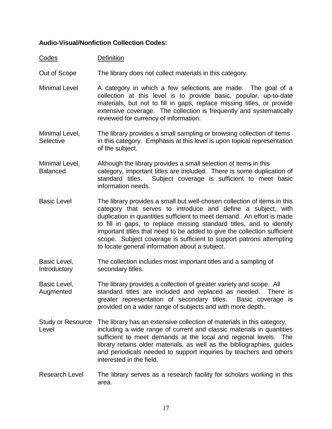## **Audio-Visual/Nonfiction Collection Codes:**

| Codes                             | Definition                                                                                                                                                                                                                                                                                                                                                                                                                                                                                      |
|-----------------------------------|-------------------------------------------------------------------------------------------------------------------------------------------------------------------------------------------------------------------------------------------------------------------------------------------------------------------------------------------------------------------------------------------------------------------------------------------------------------------------------------------------|
| Out of Scope                      | The library does not collect materials in this category.                                                                                                                                                                                                                                                                                                                                                                                                                                        |
| Minimal Level                     | A category in which a few selections are made. The goal of a<br>collection at this level is to provide basic, popular, up-to-date<br>materials, but not to fill in gaps, replace missing titles, or provide<br>extensive coverage. The collection is frequently and systematically<br>reviewed for currency of information.                                                                                                                                                                     |
| Minimal Level,<br>Selective       | The library provides a small sampling or browsing collection of items<br>in this category. Emphasis at this level is upon topical representation<br>of the subject.                                                                                                                                                                                                                                                                                                                             |
| Minimal Level,<br><b>Balanced</b> | Although the library provides a small selection of items in this<br>category, important titles are included. There is some duplication of<br>standard titles. Subject coverage is sufficient to meet basic<br>information needs.                                                                                                                                                                                                                                                                |
| <b>Basic Level</b>                | The library provides a small but well-chosen collection of items in this<br>category that serves to introduce and define a subject, with<br>duplication in quantities sufficient to meet demand. An effort is made<br>to fill in gaps, to replace missing standard titles, and to identify<br>important titles that need to be added to give the collection sufficient<br>scope. Subject coverage is sufficient to support patrons attempting<br>to locate general information about a subject. |
| Basic Level,<br>Introductory      | The collection includes most important titles and a sampling of<br>secondary titles.                                                                                                                                                                                                                                                                                                                                                                                                            |
| Basic Level,<br>Augmented         | The library provides a collection of greater variety and scope. All<br>standard titles are included and replaced as needed. There is<br>greater representation of secondary titles.<br>Basic coverage is<br>provided on a wider range of subjects and with more depth.                                                                                                                                                                                                                          |
| Study or Resource<br>Level        | The library has an extensive collection of materials in this category,<br>including a wide range of current and classic materials in quantities<br>sufficient to meet demands at the local and regional levels.<br>The<br>library retains older materials, as well as the bibliographies, guides<br>and periodicals needed to support inquiries by teachers and others<br>interested in the field.                                                                                              |
| <b>Research Level</b>             | The library serves as a research facility for scholars working in this<br>area.                                                                                                                                                                                                                                                                                                                                                                                                                 |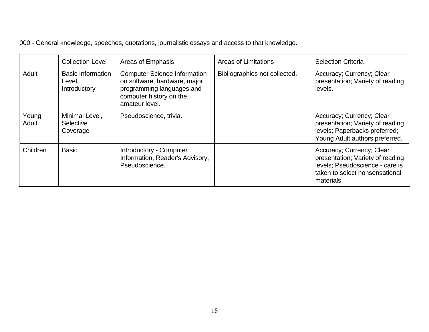|                | <b>Collection Level</b>                            | <b>Areas of Emphasis</b>                                                                                                                      | <b>Areas of Limitations</b>   | <b>Selection Criteria</b>                                                                                                                        |
|----------------|----------------------------------------------------|-----------------------------------------------------------------------------------------------------------------------------------------------|-------------------------------|--------------------------------------------------------------------------------------------------------------------------------------------------|
| Adult          | <b>Basic Information</b><br>Level,<br>Introductory | <b>Computer Science Information</b><br>on software, hardware, major<br>programming languages and<br>computer history on the<br>amateur level. | Bibliographies not collected. | Accuracy; Currency; Clear<br>presentation; Variety of reading<br>levels.                                                                         |
| Young<br>Adult | Minimal Level,<br>Selective<br>Coverage            | Pseudoscience, trivia.                                                                                                                        |                               | Accuracy; Currency; Clear<br>presentation; Variety of reading<br>levels; Paperbacks preferred;<br>Young Adult authors preferred.                 |
| Children       | <b>Basic</b>                                       | Introductory - Computer<br>Information, Reader's Advisory,<br>Pseudoscience.                                                                  |                               | Accuracy; Currency; Clear<br>presentation; Variety of reading<br>levels; Pseudoscience - care is<br>taken to select nonsensational<br>materials. |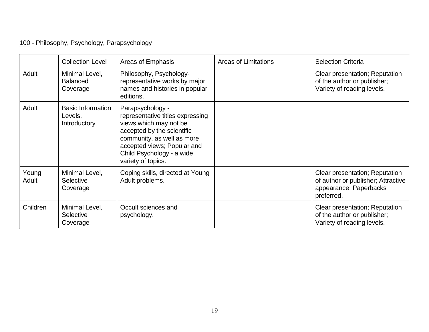# 100 - Philosophy, Psychology, Parapsychology

|                | <b>Collection Level</b>                             | Areas of Emphasis                                                                                                                                                                                                            | <b>Areas of Limitations</b> | <b>Selection Criteria</b>                                                                                    |
|----------------|-----------------------------------------------------|------------------------------------------------------------------------------------------------------------------------------------------------------------------------------------------------------------------------------|-----------------------------|--------------------------------------------------------------------------------------------------------------|
| Adult          | Minimal Level,<br><b>Balanced</b><br>Coverage       | Philosophy, Psychology-<br>representative works by major<br>names and histories in popular<br>editions.                                                                                                                      |                             | Clear presentation; Reputation<br>of the author or publisher;<br>Variety of reading levels.                  |
| Adult          | <b>Basic Information</b><br>Levels,<br>Introductory | Parapsychology -<br>representative titles expressing<br>views which may not be<br>accepted by the scientific<br>community, as well as more<br>accepted views; Popular and<br>Child Psychology - a wide<br>variety of topics. |                             |                                                                                                              |
| Young<br>Adult | Minimal Level,<br>Selective<br>Coverage             | Coping skills, directed at Young<br>Adult problems.                                                                                                                                                                          |                             | Clear presentation; Reputation<br>of author or publisher; Attractive<br>appearance; Paperbacks<br>preferred. |
| Children       | Minimal Level,<br>Selective<br>Coverage             | Occult sciences and<br>psychology.                                                                                                                                                                                           |                             | Clear presentation; Reputation<br>of the author or publisher;<br>Variety of reading levels.                  |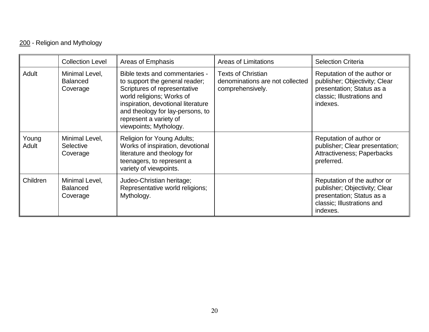# 200 - Religion and Mythology

|                | <b>Collection Level</b>                       | Areas of Emphasis                                                                                                                                                                                                                                           | <b>Areas of Limitations</b>                                                      | <b>Selection Criteria</b>                                                                                                           |
|----------------|-----------------------------------------------|-------------------------------------------------------------------------------------------------------------------------------------------------------------------------------------------------------------------------------------------------------------|----------------------------------------------------------------------------------|-------------------------------------------------------------------------------------------------------------------------------------|
| Adult          | Minimal Level,<br><b>Balanced</b><br>Coverage | Bible texts and commentaries -<br>to support the general reader;<br>Scriptures of representative<br>world religions; Works of<br>inspiration, devotional literature<br>and theology for lay-persons, to<br>represent a variety of<br>viewpoints; Mythology. | <b>Texts of Christian</b><br>denominations are not collected<br>comprehensively. | Reputation of the author or<br>publisher; Objectivity; Clear<br>presentation; Status as a<br>classic; Illustrations and<br>indexes. |
| Young<br>Adult | Minimal Level,<br>Selective<br>Coverage       | Religion for Young Adults;<br>Works of inspiration, devotional<br>literature and theology for<br>teenagers, to represent a<br>variety of viewpoints.                                                                                                        |                                                                                  | Reputation of author or<br>publisher; Clear presentation;<br>Attractiveness; Paperbacks<br>preferred.                               |
| Children       | Minimal Level,<br><b>Balanced</b><br>Coverage | Judeo-Christian heritage;<br>Representative world religions;<br>Mythology.                                                                                                                                                                                  |                                                                                  | Reputation of the author or<br>publisher; Objectivity; Clear<br>presentation; Status as a<br>classic; Illustrations and<br>indexes. |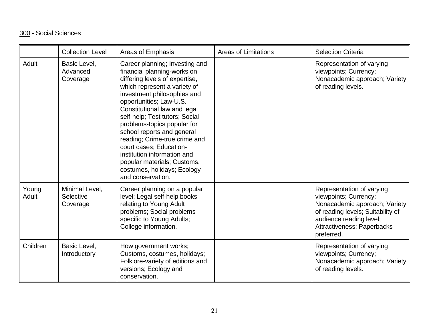## 300 - Social Sciences

|                | <b>Collection Level</b>                 | Areas of Emphasis                                                                                                                                                                                                                                                                                                                                                                                                                                                                                      | <b>Areas of Limitations</b> | <b>Selection Criteria</b>                                                                                                                                                                       |
|----------------|-----------------------------------------|--------------------------------------------------------------------------------------------------------------------------------------------------------------------------------------------------------------------------------------------------------------------------------------------------------------------------------------------------------------------------------------------------------------------------------------------------------------------------------------------------------|-----------------------------|-------------------------------------------------------------------------------------------------------------------------------------------------------------------------------------------------|
| Adult          | Basic Level,<br>Advanced<br>Coverage    | Career planning; Investing and<br>financial planning-works on<br>differing levels of expertise,<br>which represent a variety of<br>investment philosophies and<br>opportunities; Law-U.S.<br>Constitutional law and legal<br>self-help; Test tutors; Social<br>problems-topics popular for<br>school reports and general<br>reading; Crime-true crime and<br>court cases; Education-<br>institution information and<br>popular materials; Customs,<br>costumes, holidays; Ecology<br>and conservation. |                             | Representation of varying<br>viewpoints; Currency;<br>Nonacademic approach; Variety<br>of reading levels.                                                                                       |
| Young<br>Adult | Minimal Level,<br>Selective<br>Coverage | Career planning on a popular<br>level; Legal self-help books<br>relating to Young Adult<br>problems; Social problems<br>specific to Young Adults;<br>College information.                                                                                                                                                                                                                                                                                                                              |                             | Representation of varying<br>viewpoints; Currency;<br>Nonacademic approach; Variety<br>of reading levels; Suitability of<br>audience reading level;<br>Attractiveness; Paperbacks<br>preferred. |
| Children       | Basic Level,<br>Introductory            | How government works;<br>Customs, costumes, holidays;<br>Folklore-variety of editions and<br>versions; Ecology and<br>conservation.                                                                                                                                                                                                                                                                                                                                                                    |                             | Representation of varying<br>viewpoints; Currency;<br>Nonacademic approach; Variety<br>of reading levels.                                                                                       |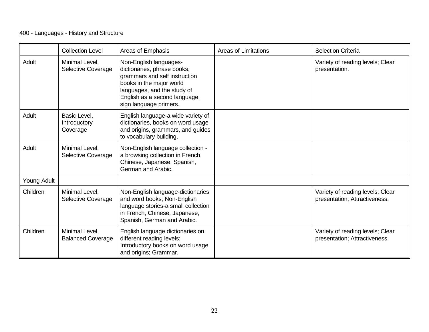# 400 - Languages - History and Structure

|                    | <b>Collection Level</b>                     | Areas of Emphasis                                                                                                                                                                                            | <b>Areas of Limitations</b> | <b>Selection Criteria</b>                                         |
|--------------------|---------------------------------------------|--------------------------------------------------------------------------------------------------------------------------------------------------------------------------------------------------------------|-----------------------------|-------------------------------------------------------------------|
| <b>Adult</b>       | Minimal Level,<br><b>Selective Coverage</b> | Non-English languages-<br>dictionaries, phrase books,<br>grammars and self instruction<br>books in the major world<br>languages, and the study of<br>English as a second language,<br>sign language primers. |                             | Variety of reading levels; Clear<br>presentation.                 |
| Adult              | Basic Level,<br>Introductory<br>Coverage    | English language-a wide variety of<br>dictionaries, books on word usage<br>and origins, grammars, and guides<br>to vocabulary building.                                                                      |                             |                                                                   |
| Adult              | Minimal Level,<br>Selective Coverage        | Non-English language collection -<br>a browsing collection in French,<br>Chinese, Japanese, Spanish,<br>German and Arabic.                                                                                   |                             |                                                                   |
| <b>Young Adult</b> |                                             |                                                                                                                                                                                                              |                             |                                                                   |
| Children           | Minimal Level,<br><b>Selective Coverage</b> | Non-English language-dictionaries<br>and word books; Non-English<br>language stories-a small collection<br>in French, Chinese, Japanese,<br>Spanish, German and Arabic.                                      |                             | Variety of reading levels; Clear<br>presentation; Attractiveness. |
| Children           | Minimal Level,<br><b>Balanced Coverage</b>  | English language dictionaries on<br>different reading levels;<br>Introductory books on word usage<br>and origins; Grammar.                                                                                   |                             | Variety of reading levels; Clear<br>presentation; Attractiveness. |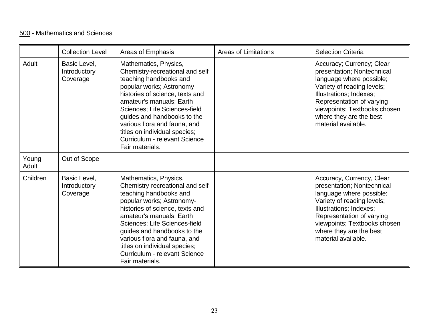# 500 - Mathematics and Sciences

|                | <b>Collection Level</b>                  | Areas of Emphasis                                                                                                                                                                                                                                                                                                                                                   | <b>Areas of Limitations</b> | <b>Selection Criteria</b>                                                                                                                                                                                                                                   |
|----------------|------------------------------------------|---------------------------------------------------------------------------------------------------------------------------------------------------------------------------------------------------------------------------------------------------------------------------------------------------------------------------------------------------------------------|-----------------------------|-------------------------------------------------------------------------------------------------------------------------------------------------------------------------------------------------------------------------------------------------------------|
| Adult          | Basic Level,<br>Introductory<br>Coverage | Mathematics, Physics,<br>Chemistry-recreational and self<br>teaching handbooks and<br>popular works; Astronomy-<br>histories of science, texts and<br>amateur's manuals; Earth<br>Sciences; Life Sciences-field<br>guides and handbooks to the<br>various flora and fauna, and<br>titles on individual species;<br>Curriculum - relevant Science<br>Fair materials. |                             | Accuracy; Currency; Clear<br>presentation; Nontechnical<br>language where possible;<br>Variety of reading levels;<br>Illustrations; Indexes;<br>Representation of varying<br>viewpoints; Textbooks chosen<br>where they are the best<br>material available. |
| Young<br>Adult | Out of Scope                             |                                                                                                                                                                                                                                                                                                                                                                     |                             |                                                                                                                                                                                                                                                             |
| Children       | Basic Level,<br>Introductory<br>Coverage | Mathematics, Physics,<br>Chemistry-recreational and self<br>teaching handbooks and<br>popular works; Astronomy-<br>histories of science, texts and<br>amateur's manuals; Earth<br>Sciences; Life Sciences-field<br>guides and handbooks to the<br>various flora and fauna, and<br>titles on individual species;<br>Curriculum - relevant Science<br>Fair materials. |                             | Accuracy, Currency, Clear<br>presentation; Nontechnical<br>language where possible;<br>Variety of reading levels;<br>Illustrations; Indexes;<br>Representation of varying<br>viewpoints; Textbooks chosen<br>where they are the best<br>material available. |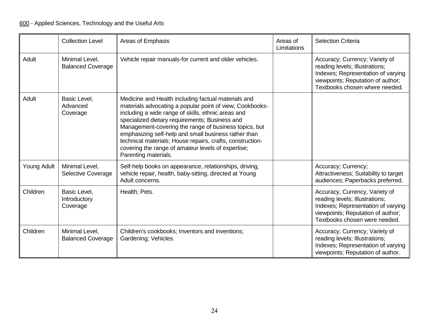|             | <b>Collection Level</b>                    | Areas of Emphasis                                                                                                                                                                                                                                                                                                                                                                                                                                                                   | Areas of<br>Limitations | <b>Selection Criteria</b>                                                                                                                                                     |
|-------------|--------------------------------------------|-------------------------------------------------------------------------------------------------------------------------------------------------------------------------------------------------------------------------------------------------------------------------------------------------------------------------------------------------------------------------------------------------------------------------------------------------------------------------------------|-------------------------|-------------------------------------------------------------------------------------------------------------------------------------------------------------------------------|
| Adult       | Minimal Level,<br><b>Balanced Coverage</b> | Vehicle repair manuals-for current and older vehicles.                                                                                                                                                                                                                                                                                                                                                                                                                              |                         | Accuracy; Currency; Variety of<br>reading levels; Illustrations;<br>Indexes; Representation of varying<br>viewpoints; Reputation of author;<br>Textbooks chosen where needed. |
| Adult       | Basic Level,<br>Advanced<br>Coverage       | Medicine and Health including factual materials and<br>materials advocating a popular point of view; Cookbooks-<br>including a wide range of skills, ethnic areas and<br>specialized dietary requirements; Business and<br>Management-covering the range of business topics, but<br>emphasizing self-help and small business rather than<br>technical materials; House repairs, crafts, construction-<br>covering the range of amateur levels of expertise;<br>Parenting materials. |                         |                                                                                                                                                                               |
| Young Adult | Minimal Level,<br>Selective Coverage       | Self-help books on appearance, relationships, driving,<br>vehicle repair, health, baby-sitting, directed at Young<br>Adult concerns.                                                                                                                                                                                                                                                                                                                                                |                         | Accuracy; Currency;<br>Attractiveness; Suitability to target<br>audiences; Paperbacks preferred.                                                                              |
| Children    | Basic Level,<br>Introductory<br>Coverage   | Health; Pets.                                                                                                                                                                                                                                                                                                                                                                                                                                                                       |                         | Accuracy, Currency, Variety of<br>reading levels; Illustrations;<br>Indexes; Representation of varying<br>viewpoints; Reputation of author;<br>Textbooks chosen were needed.  |
| Children    | Minimal Level,<br><b>Balanced Coverage</b> | Children's cookbooks; Inventors and inventions;<br>Gardening; Vehicles.                                                                                                                                                                                                                                                                                                                                                                                                             |                         | Accuracy, Currency, Variety of<br>reading levels; Illustrations;<br>Indexes; Representation of varying<br>viewpoints; Reputation of author.                                   |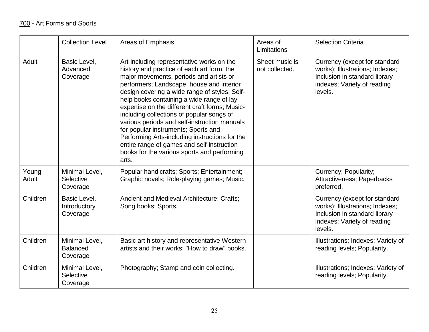|                       | <b>Collection Level</b>                       | <b>Areas of Emphasis</b>                                                                                                                                                                                                                                                                                                                                                                                                                                                                                                                                                                                                    | Areas of<br>Limitations          | <b>Selection Criteria</b>                                                                                                                   |
|-----------------------|-----------------------------------------------|-----------------------------------------------------------------------------------------------------------------------------------------------------------------------------------------------------------------------------------------------------------------------------------------------------------------------------------------------------------------------------------------------------------------------------------------------------------------------------------------------------------------------------------------------------------------------------------------------------------------------------|----------------------------------|---------------------------------------------------------------------------------------------------------------------------------------------|
| Adult                 | Basic Level,<br>Advanced<br>Coverage          | Art-including representative works on the<br>history and practice of each art form, the<br>major movements, periods and artists or<br>performers; Landscape, house and interior<br>design covering a wide range of styles; Self-<br>help books containing a wide range of lay<br>expertise on the different craft forms; Music-<br>including collections of popular songs of<br>various periods and self-instruction manuals<br>for popular instruments; Sports and<br>Performing Arts-including instructions for the<br>entire range of games and self-instruction<br>books for the various sports and performing<br>arts. | Sheet music is<br>not collected. | Currency (except for standard<br>works); Illustrations; Indexes;<br>Inclusion in standard library<br>indexes; Variety of reading<br>levels. |
| Young<br><b>Adult</b> | Minimal Level,<br>Selective<br>Coverage       | Popular handicrafts; Sports; Entertainment;<br>Graphic novels; Role-playing games; Music.                                                                                                                                                                                                                                                                                                                                                                                                                                                                                                                                   |                                  | Currency; Popularity;<br>Attractiveness; Paperbacks<br>preferred.                                                                           |
| Children              | Basic Level,<br>Introductory<br>Coverage      | Ancient and Medieval Architecture; Crafts;<br>Song books; Sports.                                                                                                                                                                                                                                                                                                                                                                                                                                                                                                                                                           |                                  | Currency (except for standard<br>works); Illustrations; Indexes;<br>Inclusion in standard library<br>indexes; Variety of reading<br>levels. |
| Children              | Minimal Level,<br><b>Balanced</b><br>Coverage | Basic art history and representative Western<br>artists and their works; "How to draw" books.                                                                                                                                                                                                                                                                                                                                                                                                                                                                                                                               |                                  | Illustrations; Indexes; Variety of<br>reading levels; Popularity.                                                                           |
| Children              | Minimal Level,<br>Selective<br>Coverage       | Photography; Stamp and coin collecting.                                                                                                                                                                                                                                                                                                                                                                                                                                                                                                                                                                                     |                                  | Illustrations; Indexes; Variety of<br>reading levels; Popularity.                                                                           |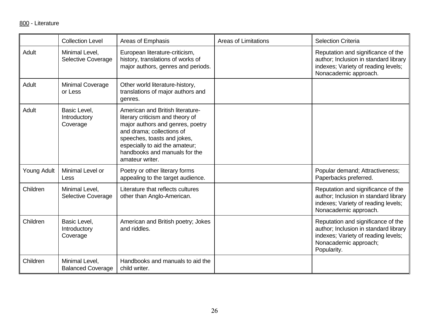|             | <b>Collection Level</b>                     | Areas of Emphasis                                                                                                                                                                                                                                          | <b>Areas of Limitations</b> | <b>Selection Criteria</b>                                                                                                                                  |
|-------------|---------------------------------------------|------------------------------------------------------------------------------------------------------------------------------------------------------------------------------------------------------------------------------------------------------------|-----------------------------|------------------------------------------------------------------------------------------------------------------------------------------------------------|
| Adult       | Minimal Level,<br><b>Selective Coverage</b> | European literature-criticism,<br>history, translations of works of<br>major authors, genres and periods.                                                                                                                                                  |                             | Reputation and significance of the<br>author; Inclusion in standard library<br>indexes; Variety of reading levels;<br>Nonacademic approach.                |
| Adult       | Minimal Coverage<br>or Less                 | Other world literature-history,<br>translations of major authors and<br>genres.                                                                                                                                                                            |                             |                                                                                                                                                            |
| Adult       | Basic Level,<br>Introductory<br>Coverage    | American and British literature-<br>literary criticism and theory of<br>major authors and genres, poetry<br>and drama; collections of<br>speeches, toasts and jokes,<br>especially to aid the amateur;<br>handbooks and manuals for the<br>amateur writer. |                             |                                                                                                                                                            |
| Young Adult | Minimal Level or<br>Less                    | Poetry or other literary forms<br>appealing to the target audience.                                                                                                                                                                                        |                             | Popular demand; Attractiveness;<br>Paperbacks preferred.                                                                                                   |
| Children    | Minimal Level,<br><b>Selective Coverage</b> | Literature that reflects cultures<br>other than Anglo-American.                                                                                                                                                                                            |                             | Reputation and significance of the<br>author; Inclusion in standard library<br>indexes; Variety of reading levels;<br>Nonacademic approach.                |
| Children    | Basic Level,<br>Introductory<br>Coverage    | American and British poetry; Jokes<br>and riddles.                                                                                                                                                                                                         |                             | Reputation and significance of the<br>author; Inclusion in standard library<br>indexes; Variety of reading levels;<br>Nonacademic approach;<br>Popularity. |
| Children    | Minimal Level,<br><b>Balanced Coverage</b>  | Handbooks and manuals to aid the<br>child writer.                                                                                                                                                                                                          |                             |                                                                                                                                                            |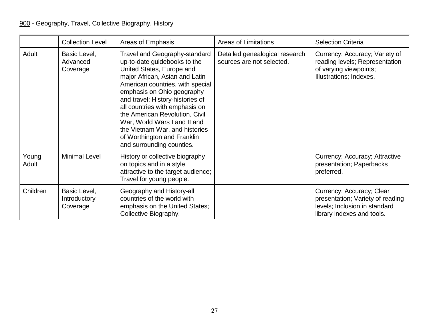# 900 - Geography, Travel, Collective Biography, History

|                | <b>Collection Level</b>                  | Areas of Emphasis                                                                                                                                                                                                                                                                                                                                                                                                                    | <b>Areas of Limitations</b>                                 | <b>Selection Criteria</b>                                                                                                    |
|----------------|------------------------------------------|--------------------------------------------------------------------------------------------------------------------------------------------------------------------------------------------------------------------------------------------------------------------------------------------------------------------------------------------------------------------------------------------------------------------------------------|-------------------------------------------------------------|------------------------------------------------------------------------------------------------------------------------------|
| Adult          | Basic Level,<br>Advanced<br>Coverage     | Travel and Geography-standard<br>up-to-date guidebooks to the<br>United States, Europe and<br>major African, Asian and Latin<br>American countries, with special<br>emphasis on Ohio geography<br>and travel; History-histories of<br>all countries with emphasis on<br>the American Revolution, Civil<br>War, World Wars I and II and<br>the Vietnam War, and histories<br>of Worthington and Franklin<br>and surrounding counties. | Detailed genealogical research<br>sources are not selected. | Currency; Accuracy; Variety of<br>reading levels; Representation<br>of varying viewpoints;<br>Illustrations; Indexes.        |
| Young<br>Adult | <b>Minimal Level</b>                     | History or collective biography<br>on topics and in a style<br>attractive to the target audience;<br>Travel for young people.                                                                                                                                                                                                                                                                                                        |                                                             | Currency; Accuracy; Attractive<br>presentation; Paperbacks<br>preferred.                                                     |
| Children       | Basic Level,<br>Introductory<br>Coverage | Geography and History-all<br>countries of the world with<br>emphasis on the United States;<br>Collective Biography.                                                                                                                                                                                                                                                                                                                  |                                                             | Currency; Accuracy; Clear<br>presentation; Variety of reading<br>levels; Inclusion in standard<br>library indexes and tools. |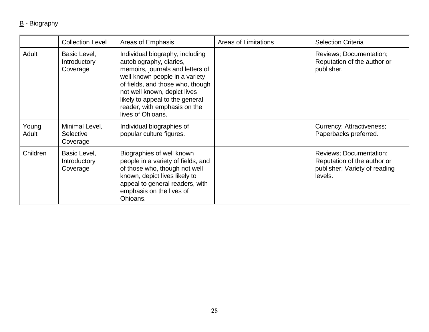# $\underline{\mathsf{B}}$  - Biography

|                | <b>Collection Level</b>                  | Areas of Emphasis                                                                                                                                                                                                                                                                            | <b>Areas of Limitations</b> | <b>Selection Criteria</b>                                                                          |
|----------------|------------------------------------------|----------------------------------------------------------------------------------------------------------------------------------------------------------------------------------------------------------------------------------------------------------------------------------------------|-----------------------------|----------------------------------------------------------------------------------------------------|
| Adult          | Basic Level,<br>Introductory<br>Coverage | Individual biography, including<br>autobiography, diaries,<br>memoirs, journals and letters of<br>well-known people in a variety<br>of fields, and those who, though<br>not well known, depict lives<br>likely to appeal to the general<br>reader, with emphasis on the<br>lives of Ohioans. |                             | Reviews; Documentation;<br>Reputation of the author or<br>publisher.                               |
| Young<br>Adult | Minimal Level,<br>Selective<br>Coverage  | Individual biographies of<br>popular culture figures.                                                                                                                                                                                                                                        |                             | Currency; Attractiveness;<br>Paperbacks preferred.                                                 |
| Children       | Basic Level,<br>Introductory<br>Coverage | Biographies of well known<br>people in a variety of fields, and<br>of those who, though not well<br>known, depict lives likely to<br>appeal to general readers, with<br>emphasis on the lives of<br>Ohioans.                                                                                 |                             | Reviews; Documentation;<br>Reputation of the author or<br>publisher; Variety of reading<br>levels. |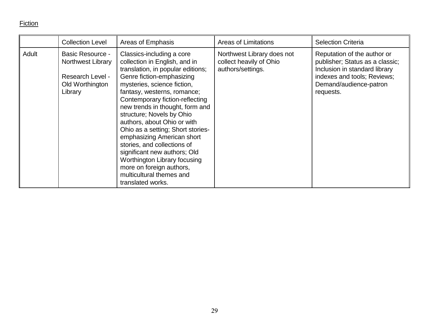## **Fiction**

|       | <b>Collection Level</b>                                                                               | Areas of Emphasis                                                                                                                                                                                                                                                                                                                                                                                                                                                                                                                                                           | <b>Areas of Limitations</b>                                                | <b>Selection Criteria</b>                                                                                                                                             |
|-------|-------------------------------------------------------------------------------------------------------|-----------------------------------------------------------------------------------------------------------------------------------------------------------------------------------------------------------------------------------------------------------------------------------------------------------------------------------------------------------------------------------------------------------------------------------------------------------------------------------------------------------------------------------------------------------------------------|----------------------------------------------------------------------------|-----------------------------------------------------------------------------------------------------------------------------------------------------------------------|
| Adult | <b>Basic Resource -</b><br><b>Northwest Library</b><br>Research Level -<br>Old Worthington<br>Library | Classics-including a core<br>collection in English, and in<br>translation, in popular editions;<br>Genre fiction-emphasizing<br>mysteries, science fiction,<br>fantasy, westerns, romance;<br>Contemporary fiction-reflecting<br>new trends in thought, form and<br>structure; Novels by Ohio<br>authors, about Ohio or with<br>Ohio as a setting; Short stories-<br>emphasizing American short<br>stories, and collections of<br>significant new authors; Old<br>Worthington Library focusing<br>more on foreign authors,<br>multicultural themes and<br>translated works. | Northwest Library does not<br>collect heavily of Ohio<br>authors/settings. | Reputation of the author or<br>publisher; Status as a classic;<br>Inclusion in standard library<br>indexes and tools; Reviews;<br>Demand/audience-patron<br>requests. |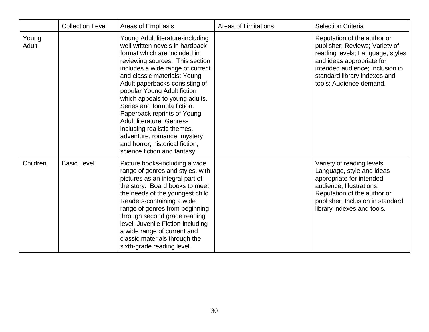|                | <b>Collection Level</b> | Areas of Emphasis                                                                                                                                                                                                                                                                                                                                                                                                                                                                                                                                | <b>Areas of Limitations</b> | <b>Selection Criteria</b>                                                                                                                                                                                                    |
|----------------|-------------------------|--------------------------------------------------------------------------------------------------------------------------------------------------------------------------------------------------------------------------------------------------------------------------------------------------------------------------------------------------------------------------------------------------------------------------------------------------------------------------------------------------------------------------------------------------|-----------------------------|------------------------------------------------------------------------------------------------------------------------------------------------------------------------------------------------------------------------------|
| Young<br>Adult |                         | Young Adult literature-including<br>well-written novels in hardback<br>format which are included in<br>reviewing sources. This section<br>includes a wide range of current<br>and classic materials; Young<br>Adult paperbacks-consisting of<br>popular Young Adult fiction<br>which appeals to young adults.<br>Series and formula fiction.<br>Paperback reprints of Young<br><b>Adult literature; Genres-</b><br>including realistic themes,<br>adventure, romance, mystery<br>and horror, historical fiction,<br>science fiction and fantasy. |                             | Reputation of the author or<br>publisher; Reviews; Variety of<br>reading levels; Language, styles<br>and ideas appropriate for<br>intended audience; Inclusion in<br>standard library indexes and<br>tools; Audience demand. |
| Children       | <b>Basic Level</b>      | Picture books-including a wide<br>range of genres and styles, with<br>pictures as an integral part of<br>the story. Board books to meet<br>the needs of the youngest child.<br>Readers-containing a wide<br>range of genres from beginning<br>through second grade reading<br>level; Juvenile Fiction-including<br>a wide range of current and<br>classic materials through the<br>sixth-grade reading level.                                                                                                                                    |                             | Variety of reading levels;<br>Language, style and ideas<br>appropriate for intended<br>audience; Illustrations;<br>Reputation of the author or<br>publisher; Inclusion in standard<br>library indexes and tools.             |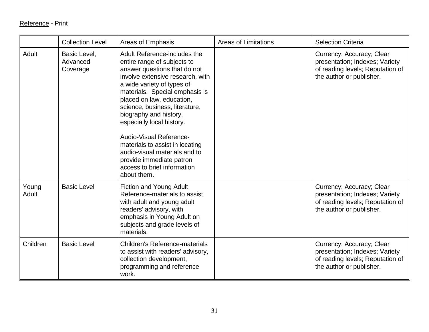# Reference - Print

|                | <b>Collection Level</b>              | Areas of Emphasis                                                                                                                                                                                                                                                                                                                                                                                                                                                                              | <b>Areas of Limitations</b> | <b>Selection Criteria</b>                                                                                                   |
|----------------|--------------------------------------|------------------------------------------------------------------------------------------------------------------------------------------------------------------------------------------------------------------------------------------------------------------------------------------------------------------------------------------------------------------------------------------------------------------------------------------------------------------------------------------------|-----------------------------|-----------------------------------------------------------------------------------------------------------------------------|
| Adult          | Basic Level,<br>Advanced<br>Coverage | Adult Reference-includes the<br>entire range of subjects to<br>answer questions that do not<br>involve extensive research, with<br>a wide variety of types of<br>materials. Special emphasis is<br>placed on law, education,<br>science, business, literature,<br>biography and history,<br>especially local history.<br>Audio-Visual Reference-<br>materials to assist in locating<br>audio-visual materials and to<br>provide immediate patron<br>access to brief information<br>about them. |                             | Currency; Accuracy; Clear<br>presentation; Indexes; Variety<br>of reading levels; Reputation of<br>the author or publisher. |
| Young<br>Adult | <b>Basic Level</b>                   | Fiction and Young Adult<br>Reference-materials to assist<br>with adult and young adult<br>readers' advisory, with<br>emphasis in Young Adult on<br>subjects and grade levels of<br>materials.                                                                                                                                                                                                                                                                                                  |                             | Currency; Accuracy; Clear<br>presentation; Indexes; Variety<br>of reading levels; Reputation of<br>the author or publisher. |
| Children       | <b>Basic Level</b>                   | <b>Children's Reference-materials</b><br>to assist with readers' advisory,<br>collection development,<br>programming and reference<br>work.                                                                                                                                                                                                                                                                                                                                                    |                             | Currency; Accuracy; Clear<br>presentation; Indexes; Variety<br>of reading levels; Reputation of<br>the author or publisher. |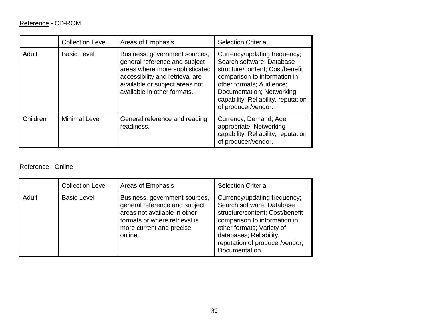## Reference - CD-ROM

|          | <b>Collection Level</b> | Areas of Emphasis                                                                                                                                                                                    | <b>Selection Criteria</b>                                                                                                                                                                                                                           |
|----------|-------------------------|------------------------------------------------------------------------------------------------------------------------------------------------------------------------------------------------------|-----------------------------------------------------------------------------------------------------------------------------------------------------------------------------------------------------------------------------------------------------|
| Adult    | <b>Basic Level</b>      | Business, government sources,<br>general reference and subject<br>areas where more sophisticated<br>accessibility and retrieval are<br>available or subject areas not<br>available in other formats. | Currency/updating frequency;<br>Search software; Database<br>structure/content; Cost/benefit<br>comparison to information in<br>other formats; Audience;<br>Documentation; Networking<br>capability; Reliability, reputation<br>of producer/vendor. |
| Children | <b>Minimal Level</b>    | General reference and reading<br>readiness.                                                                                                                                                          | Currency; Demand; Age<br>appropriate; Networking<br>capability; Reliability, reputation<br>of producer/vendor.                                                                                                                                      |

## Reference - Online

|       | <b>Collection Level</b> | Areas of Emphasis                                                                                                                                                      | <b>Selection Criteria</b>                                                                                                                                                                                                                |
|-------|-------------------------|------------------------------------------------------------------------------------------------------------------------------------------------------------------------|------------------------------------------------------------------------------------------------------------------------------------------------------------------------------------------------------------------------------------------|
| Adult | <b>Basic Level</b>      | Business, government sources,<br>general reference and subject<br>areas not available in other<br>formats or where retrieval is<br>more current and precise<br>online. | Currency/updating frequency;<br>Search software; Database<br>structure/content; Cost/benefit<br>comparison to information in<br>other formats; Variety of<br>databases; Reliability,<br>reputation of producer/vendor;<br>Documentation. |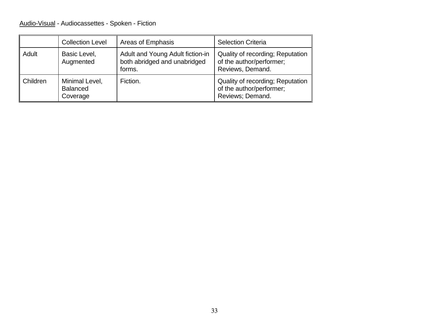# Audio-Visual - Audiocassettes - Spoken - Fiction

|          | <b>Collection Level</b>                       | Areas of Emphasis                                                          | <b>Selection Criteria</b>                                                        |
|----------|-----------------------------------------------|----------------------------------------------------------------------------|----------------------------------------------------------------------------------|
| Adult    | Basic Level,<br>Augmented                     | Adult and Young Adult fiction-in<br>both abridged and unabridged<br>forms. | Quality of recording; Reputation<br>of the author/performer;<br>Reviews, Demand. |
| Children | Minimal Level,<br><b>Balanced</b><br>Coverage | Fiction.                                                                   | Quality of recording; Reputation<br>of the author/performer;<br>Reviews; Demand. |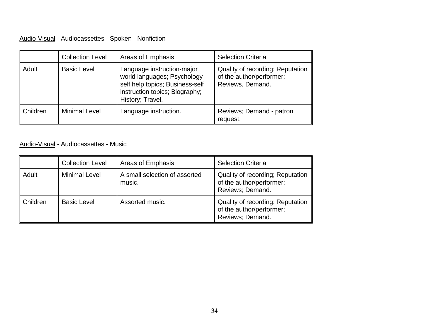Audio-Visual - Audiocassettes - Spoken - Nonfiction

|          | <b>Collection Level</b> | Areas of Emphasis                                                                                                                                   | <b>Selection Criteria</b>                                                        |
|----------|-------------------------|-----------------------------------------------------------------------------------------------------------------------------------------------------|----------------------------------------------------------------------------------|
| Adult    | <b>Basic Level</b>      | Language instruction-major<br>world languages; Psychology-<br>self help topics; Business-self<br>instruction topics; Biography;<br>History; Travel. | Quality of recording; Reputation<br>of the author/performer;<br>Reviews, Demand. |
| Children | <b>Minimal Level</b>    | Language instruction.                                                                                                                               | Reviews; Demand - patron<br>request.                                             |

Audio-Visual - Audiocassettes - Music

|          | <b>Collection Level</b> | Areas of Emphasis                       | <b>Selection Criteria</b>                                                          |
|----------|-------------------------|-----------------------------------------|------------------------------------------------------------------------------------|
| Adult    | <b>Minimal Level</b>    | A small selection of assorted<br>music. | Quality of recording; Reputation<br>of the author/performer;<br>Reviews; Demand.   |
| Children | <b>Basic Level</b>      | Assorted music.                         | Quality of recording; Reputation  <br>of the author/performer;<br>Reviews; Demand. |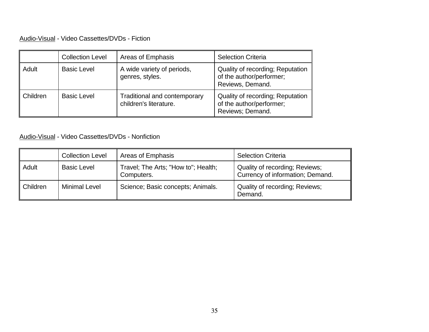## Audio-Visual - Video Cassettes/DVDs - Fiction

|          | <b>Collection Level</b> | Areas of Emphasis                                      | <b>Selection Criteria</b>                                                        |
|----------|-------------------------|--------------------------------------------------------|----------------------------------------------------------------------------------|
| Adult    | <b>Basic Level</b>      | A wide variety of periods,<br>genres, styles.          | Quality of recording; Reputation<br>of the author/performer;<br>Reviews, Demand. |
| Children | <b>Basic Level</b>      | Traditional and contemporary<br>children's literature. | Quality of recording; Reputation<br>of the author/performer;<br>Reviews; Demand. |

## Audio-Visual - Video Cassettes/DVDs - Nonfiction

|          | <b>Collection Level</b> | Areas of Emphasis                                 | <b>Selection Criteria</b>                                          |
|----------|-------------------------|---------------------------------------------------|--------------------------------------------------------------------|
| Adult    | <b>Basic Level</b>      | Travel; The Arts; "How to"; Health;<br>Computers. | Quality of recording; Reviews;<br>Currency of information; Demand. |
| Children | <b>Minimal Level</b>    | Science; Basic concepts; Animals.                 | Quality of recording; Reviews;<br>Demand.                          |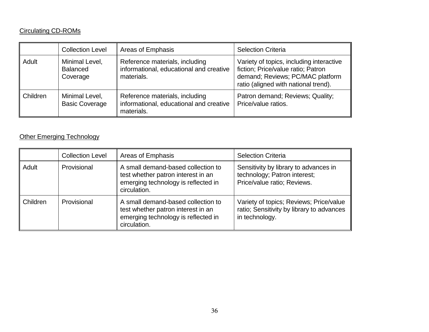## Circulating CD-ROMs

|          | <b>Collection Level</b>                       | Areas of Emphasis                                                                       | <b>Selection Criteria</b>                                                                                                                                  |
|----------|-----------------------------------------------|-----------------------------------------------------------------------------------------|------------------------------------------------------------------------------------------------------------------------------------------------------------|
| Adult    | Minimal Level,<br><b>Balanced</b><br>Coverage | Reference materials, including<br>informational, educational and creative<br>materials. | Variety of topics, including interactive<br>fiction; Price/value ratio; Patron<br>demand; Reviews; PC/MAC platform<br>ratio (aligned with national trend). |
| Children | Minimal Level,<br><b>Basic Coverage</b>       | Reference materials, including<br>informational, educational and creative<br>materials. | Patron demand; Reviews; Quality;<br>Price/value ratios.                                                                                                    |

# **Other Emerging Technology**

|          | <b>Collection Level</b> | Areas of Emphasis                                                                                                               | <b>Selection Criteria</b>                                                                              |
|----------|-------------------------|---------------------------------------------------------------------------------------------------------------------------------|--------------------------------------------------------------------------------------------------------|
| Adult    | Provisional             | A small demand-based collection to<br>test whether patron interest in an<br>emerging technology is reflected in<br>circulation. | Sensitivity by library to advances in<br>technology; Patron interest;<br>Price/value ratio; Reviews.   |
| Children | Provisional             | A small demand-based collection to<br>test whether patron interest in an<br>emerging technology is reflected in<br>circulation. | Variety of topics; Reviews; Price/value<br>ratio; Sensitivity by library to advances<br>in technology. |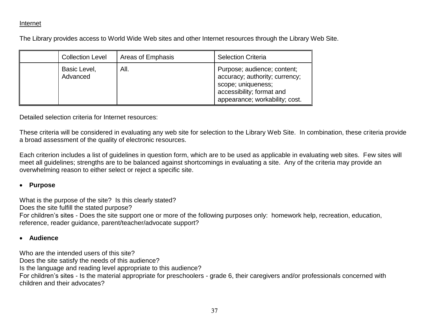### Internet

The Library provides access to World Wide Web sites and other Internet resources through the Library Web Site.

| <b>Collection Level</b>  | Areas of Emphasis | <b>Selection Criteria</b>                                                                                                                          |
|--------------------------|-------------------|----------------------------------------------------------------------------------------------------------------------------------------------------|
| Basic Level,<br>Advanced | All.              | Purpose; audience; content;<br>accuracy; authority; currency;<br>scope; uniqueness;<br>accessibility; format and<br>appearance; workability; cost. |

Detailed selection criteria for Internet resources:

These criteria will be considered in evaluating any web site for selection to the Library Web Site. In combination, these criteria provide a broad assessment of the quality of electronic resources.

Each criterion includes a list of guidelines in question form, which are to be used as applicable in evaluating web sites. Few sites will meet all guidelines; strengths are to be balanced against shortcomings in evaluating a site. Any of the criteria may provide an overwhelming reason to either select or reject a specific site.

## **Purpose**

What is the purpose of the site? Is this clearly stated?

Does the site fulfill the stated purpose?

For children's sites - Does the site support one or more of the following purposes only: homework help, recreation, education, reference, reader guidance, parent/teacher/advocate support?

## **Audience**

Who are the intended users of this site?

Does the site satisfy the needs of this audience?

Is the language and reading level appropriate to this audience?

For children's sites - Is the material appropriate for preschoolers - grade 6, their caregivers and/or professionals concerned with children and their advocates?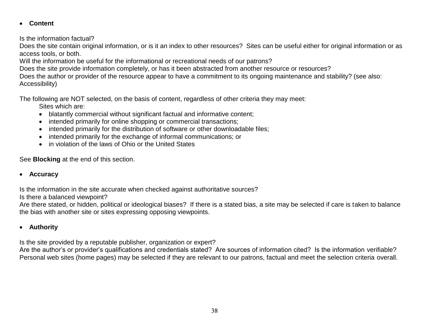**Content**

Is the information factual?

Does the site contain original information, or is it an index to other resources? Sites can be useful either for original information or as access tools, or both.

Will the information be useful for the informational or recreational needs of our patrons?

Does the site provide information completely, or has it been abstracted from another resource or resources?

Does the author or provider of the resource appear to have a commitment to its ongoing maintenance and stability? (see also: Accessibility)

The following are NOT selected, on the basis of content, regardless of other criteria they may meet: Sites which are:

- 
- blatantly commercial without significant factual and informative content;
- intended primarily for online shopping or commercial transactions;
- intended primarily for the distribution of software or other downloadable files;
- intended primarily for the exchange of informal communications; or
- in violation of the laws of Ohio or the United States

See **Blocking** at the end of this section.

## **Accuracy**

Is the information in the site accurate when checked against authoritative sources?

Is there a balanced viewpoint?

Are there stated, or hidden, political or ideological biases? If there is a stated bias, a site may be selected if care is taken to balance the bias with another site or sites expressing opposing viewpoints.

## **Authority**

Is the site provided by a reputable publisher, organization or expert?

Are the author's or provider's qualifications and credentials stated? Are sources of information cited? Is the information verifiable? Personal web sites (home pages) may be selected if they are relevant to our patrons, factual and meet the selection criteria overall.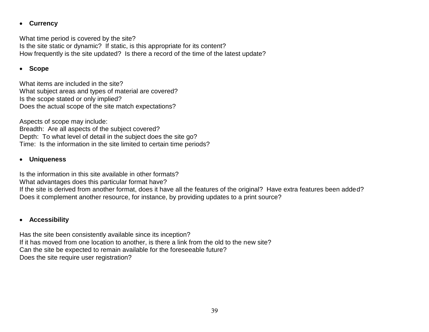## **Currency**

What time period is covered by the site?

Is the site static or dynamic? If static, is this appropriate for its content? How frequently is the site updated? Is there a record of the time of the latest update?

## **Scope**

What items are included in the site? What subject areas and types of material are covered? Is the scope stated or only implied? Does the actual scope of the site match expectations?

Aspects of scope may include: Breadth: Are all aspects of the subject covered? Depth: To what level of detail in the subject does the site go? Time: Is the information in the site limited to certain time periods?

## **Uniqueness**

Is the information in this site available in other formats?

What advantages does this particular format have?

If the site is derived from another format, does it have all the features of the original? Have extra features been added? Does it complement another resource, for instance, by providing updates to a print source?

## **Accessibility**

Has the site been consistently available since its inception? If it has moved from one location to another, is there a link from the old to the new site? Can the site be expected to remain available for the foreseeable future? Does the site require user registration?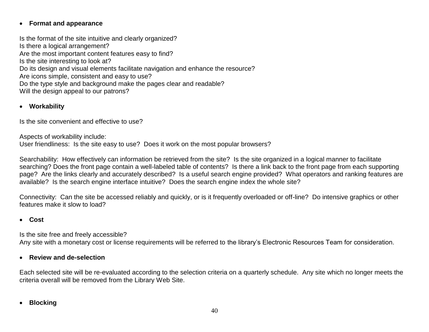## **Format and appearance**

Is the format of the site intuitive and clearly organized? Is there a logical arrangement? Are the most important content features easy to find? Is the site interesting to look at? Do its design and visual elements facilitate navigation and enhance the resource? Are icons simple, consistent and easy to use? Do the type style and background make the pages clear and readable? Will the design appeal to our patrons?

## **Workability**

Is the site convenient and effective to use?

Aspects of workability include: User friendliness: Is the site easy to use? Does it work on the most popular browsers?

Searchability: How effectively can information be retrieved from the site? Is the site organized in a logical manner to facilitate searching? Does the front page contain a well-labeled table of contents? Is there a link back to the front page from each supporting page? Are the links clearly and accurately described? Is a useful search engine provided? What operators and ranking features are available? Is the search engine interface intuitive? Does the search engine index the whole site?

Connectivity: Can the site be accessed reliably and quickly, or is it frequently overloaded or off-line? Do intensive graphics or other features make it slow to load?

## **Cost**

Is the site free and freely accessible?

Any site with a monetary cost or license requirements will be referred to the library's Electronic Resources Team for consideration.

## **Review and de-selection**

Each selected site will be re-evaluated according to the selection criteria on a quarterly schedule. Any site which no longer meets the criteria overall will be removed from the Library Web Site.

**Blocking**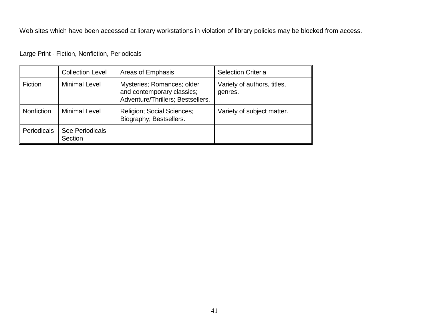Web sites which have been accessed at library workstations in violation of library policies may be blocked from access.

|                   | <b>Collection Level</b>           | Areas of Emphasis                                                                             | <b>Selection Criteria</b>              |
|-------------------|-----------------------------------|-----------------------------------------------------------------------------------------------|----------------------------------------|
| Fiction           | <b>Minimal Level</b>              | Mysteries; Romances; older<br>and contemporary classics;<br>Adventure/Thrillers; Bestsellers. | Variety of authors, titles,<br>genres. |
| <b>Nonfiction</b> | <b>Minimal Level</b>              | <b>Religion; Social Sciences;</b><br>Biography; Bestsellers.                                  | Variety of subject matter.             |
| Periodicals       | <b>See Periodicals</b><br>Section |                                                                                               |                                        |

Large Print - Fiction, Nonfiction, Periodicals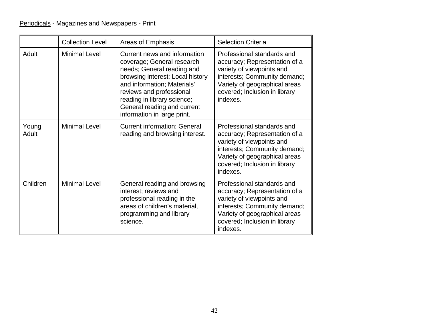|                | <b>Collection Level</b> | Areas of Emphasis                                                                                                                                                                                                                                                                    | <b>Selection Criteria</b>                                                                                                                                                                              |
|----------------|-------------------------|--------------------------------------------------------------------------------------------------------------------------------------------------------------------------------------------------------------------------------------------------------------------------------------|--------------------------------------------------------------------------------------------------------------------------------------------------------------------------------------------------------|
| <b>Adult</b>   | <b>Minimal Level</b>    | Current news and information<br>coverage; General research<br>needs; General reading and<br>browsing interest; Local history<br>and information; Materials'<br>reviews and professional<br>reading in library science;<br>General reading and current<br>information in large print. | Professional standards and<br>accuracy; Representation of a<br>variety of viewpoints and<br>interests; Community demand;<br>Variety of geographical areas<br>covered; Inclusion in library<br>indexes. |
| Young<br>Adult | <b>Minimal Level</b>    | <b>Current information; General</b><br>reading and browsing interest.                                                                                                                                                                                                                | Professional standards and<br>accuracy; Representation of a<br>variety of viewpoints and<br>interests; Community demand;<br>Variety of geographical areas<br>covered; Inclusion in library<br>indexes. |
| Children       | <b>Minimal Level</b>    | General reading and browsing<br>interest; reviews and<br>professional reading in the<br>areas of children's material,<br>programming and library<br>science.                                                                                                                         | Professional standards and<br>accuracy; Representation of a<br>variety of viewpoints and<br>interests; Community demand;<br>Variety of geographical areas<br>covered; Inclusion in library<br>indexes. |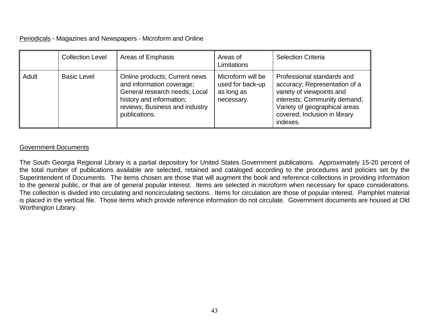#### Periodicals - Magazines and Newspapers - Microform and Online

|       | <b>Collection Level</b> | Areas of Emphasis                                                                                                                                                          | Areas of<br>Limitations                                           | <b>Selection Criteria</b>                                                                                                                                                                              |
|-------|-------------------------|----------------------------------------------------------------------------------------------------------------------------------------------------------------------------|-------------------------------------------------------------------|--------------------------------------------------------------------------------------------------------------------------------------------------------------------------------------------------------|
| Adult | <b>Basic Level</b>      | Online products; Current news<br>and information coverage;<br>General research needs; Local<br>history and information;<br>reviews; Business and industry<br>publications. | Microform will be<br>used for back-up<br>as long as<br>necessary. | Professional standards and<br>accuracy; Representation of a<br>variety of viewpoints and<br>interests; Community demand;<br>Variety of geographical areas<br>covered; Inclusion in library<br>indexes. |

#### Government Documents

The South Georgia Regional Library is a partial depository for United States Government publications. Approximately 15-20 percent of the total number of publications available are selected, retained and cataloged according to the procedures and policies set by the Superintendent of Documents. The items chosen are those that will augment the book and reference collections in providing information to the general public, or that are of general popular interest. Items are selected in microform when necessary for space considerations. The collection is divided into circulating and noncirculating sections. Items for circulation are those of popular interest. Pamphlet material is placed in the vertical file. Those items which provide reference information do not circulate. Government documents are housed at Old Worthington Library.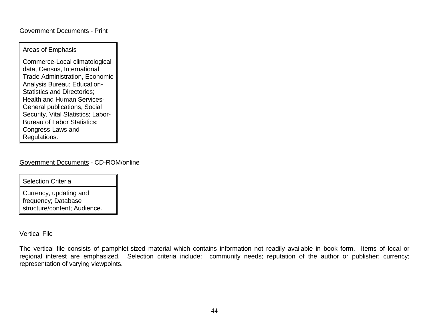#### Government Documents - Print

#### Areas of Emphasis

Commerce-Local climatological data, Census, International Trade Administration, Economic Analysis Bureau; Education-Statistics and Directories; Health and Human Services-General publications, Social Security, Vital Statistics; Labor-Bureau of Labor Statistics; Congress-Laws and Regulations.

Government Documents - CD-ROM/online

Selection Criteria

Currency, updating and frequency; Database structure/content; Audience.

#### Vertical File

The vertical file consists of pamphlet-sized material which contains information not readily available in book form. Items of local or regional interest are emphasized. Selection criteria include: community needs; reputation of the author or publisher; currency; representation of varying viewpoints.